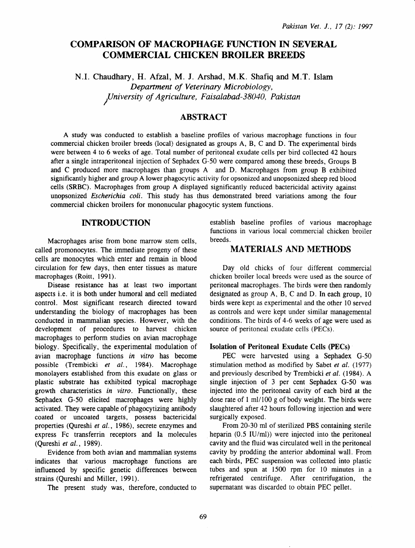# COMPARISON OF MACROPHAGE FUNCTION IN SEVERAL **COMMERCIAL CHICKEN BROILER BREEDS**

N.I. Chaudhary, H. Afzal, M. J. Arshad, M.K. Shafiq and M.T. Islam *Department of Veterinary Microbiology,*  1 *university of Agriculture, Faisalabad-38040, Pakistan* 

## ABSTRACT

A study was conducted to establish a baseline profiles of various macrophage functions in four commercial chicken broiler breeds (local) designated as groups A, B, C and D. The experimental birds were between 4 to 6 weeks of age. Total number of peritoneal exudate cells per bird collected 42 hours after a single intraperitoneal injection of Sephadex G-50 were compared among these breeds, Groups B and C produced more macrophages than groups A and D. Macrophages from group B exhibited significantly higher and group A lower phagocytic activity for opsonized and unopsonized sheep red blood cells (SRBC). Macrophages from group A displayed significantly reduced bactericidal activity against unopsonized *Escherichia coli.* This study has thus demonstrated breed variations among the four commercial chicken broilers for mononucular phagocytic system functions.

### INTRODUCTION

Macrophages arise from bone marrow stem cells, called promonocytes. The immediate progeny of these cells are monocytes which enter and remain in blood circulation for few days, then enter tissues as mature macrophages (Roitt, 1991).

Disease resistance has at least two important aspects i.e. it is both under humoral and cell mediated control. Most significant research directed toward understanding the biology of macrophages has been conducted in mammalian species. However, with the development of procedures to harvest chicken macrophages to perform studies on avian macrophage biology. Specifically, the experimental modulation of avian macrophage functions in *vitro* has become possible (Trembicki *et* al., 1984). Macrophage monolayers established from this exudate on glass or plastic substrate has exhibited typical macrophage growth characteristics *in vitro.* Functionally, these Sephadex G-50 elicited macrophages were highly activated. They were capable of phagocytizing antibody coated or uncoated targets, possess bactericidal properties (Qureshi *et* al., 1986), secrete enzymes and express Fe transferrin receptors and Ia molecules (Qureshi *et al.,* 1989).

Evidence from both avian and mammalian systems indicates that various macrophage functions are influenced by specific genetic differences between strains (Qureshi and Miller, 1991).

The present study was, therefore, conducted to

establish baseline profiles of various macrophage functions in various local commercial chicken broiler breeds.

### MATERIALS AND METHODS

Day old chicks of four different commercial chicken broiler local breeds were used as the source of peritoneal macrophages. The birds were then randomly designated as group A, B, C and D. In each group, 10 birds were kept as experimental and the other 10 served as controls and were kept under similar managemental conditions. The birds of 4-6 weeks of age were used as source of peritoneal exudate cells (PECs).

### Isolation of Peritoneal Exudate Cells (PECs)

PEC were harvested using a Sephadex G-50 stimulation method as modified by Sabet *et* al. (1977) and previously described by Trembicki *et* al. ( 1984). A single injection of 3 per cent Sephadex G-50 was injected into the peritoneal cavity of each bird at the dose rate of 1 ml/100 g of body weight. The birds were slaughtered after 42 hours following injection and were surgically exposed.

From 20-30 ml of sterilized PBS containing sterile heparin (0.5 IU/ml)) were injected into the peritoneal cavity and the fluid was circulated well in the peritoneal cavity by prodding the anterior abdominal wall. From each birds, PEC suspension was collected into plastic tubes and spun at  $1500$  rpm for  $10$  minutes in a refrigerated centrifuge. After centrifugation, the supernatant was discarded to obtain PEC pellet.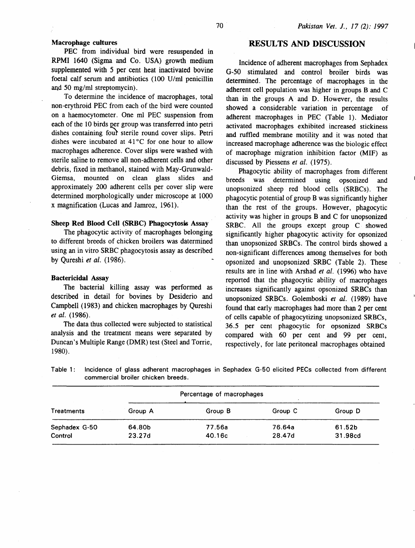### Macrophage cultures

PEC from individual bird were resuspended in RPMI 1640 (Sigma and Co. USA) growth medium supplemented with 5 per cent heat inactivated bovine foetal calf serum and antibiotics (100 U/ml penicillin and *50* mg/ml streptomycin).

To determine the incidence of macrophages, total non-erythroid PEC from each of the bird were counted on a haemocytometer. One m1 PEC suspension from each of the 10 birds per group was transferred into petri dishes containing fout sterile round cover slips. Petri dishes were incubated at  $41^{\circ}$ C for one hour to allow macrophages adherence. Cover slips were washed with sterile saline to remove all non-adherent cells and other debris, fixed in methanol, stained with May-Grunwald-Giemsa, mounted on clean glass slides and approximately 200 adherent cells per cover slip were determined morphologically under microscope at 1000 x magnification (Lucas and Jamroz, 1961).

### Sheep Red Blood Cell (SRBC) Phagocytosis Assay

The phagocytic activity of macrophages belonging to different breeds of chicken broilers was datermined using an in vitro SRBC phagocytosis assay as described by Qureshi *et al.* (1986).

#### Bactericidal Assay

The bacterial killing assay was performed as described in detail for bovines by Desiderio and Campbell ( 1983) and chicken macrophages by Qureshi *et al.* (1986).

The data thus collected were subjected to statistical analysis and the treatment means were separated by Duncan's Multiple Range (DMR) test (Steel and Torrie, 1980).

### RESULTS AND DISCUSSION

Incidence of adherent macrophages from Sephadex G-50 stimulated and control broiler birds was determined. The percentage of macrophages in the adherent cell population was higher in groups B and C than in the groups A and D. However, the results showed a considerable variation in percentage of adherent macrophages in PEC (Table 1). Mediator activated macrophages exhibited increased stickiness and ruffled membrane motility and it was noted that increased macrophage adherence was the biologic effect of macrophage migration inhibition factor (MIF) as discussed by Piessens *et al.* (1975).

Phagocytic ability of macrophages from different breeds was determined using opsonized and unopsonized sheep red blood cells (SRBCs). The phagocytic potential of group B was significantly higher than the rest of the groups. However, phagocytic activity was higher in groups B and C for unopsonized SRBC. All the groups except group C showed significantly higher phagocytic activity for opsonized than unopsonized SRBCs. The control birds showed a non-significant differences among themselves for both opsonized and unopsonized. SRBC (Table 2). These results are in line with Arshad *et al.* (1996) who have reported that the phagocytic ability of macrophages increases significantly against opsonized SRBCs than unopsonized SRBCs. Golemboski *et al.* (1989) have found that early macrophages had more than 2 per cent of cells capable of phagocytizing unopsonized SRBCs, 36.5 per cent phagocytic. for opsonized SRBCs compared with 60 per cent and 99 per cent, respectively, for late peritoneal macrophages obtained

Table 1: Incidence of glass adherent macrophages in Sephadex G-50 elicited PECs collected from different commercial broiler chicken breeds.

|               | Percentage of macrophages |         |         |         |  |
|---------------|---------------------------|---------|---------|---------|--|
| Treatments    | Group A                   | Group B | Group C | Group D |  |
| Sephadex G-50 | 64.80b                    | 77.56a  | 76.64a  | 61.52b  |  |
| Control       | 23.27d                    | 40.16c  | 28.47d  | 31.98cd |  |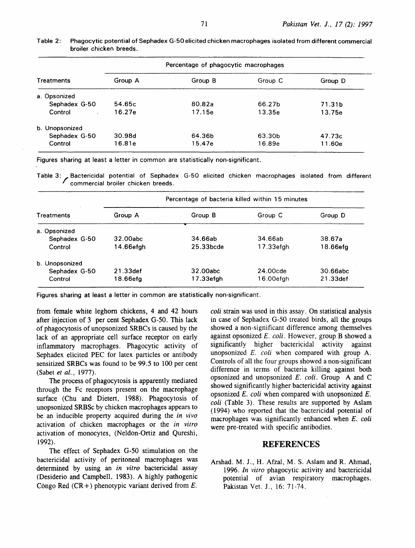| Percentage of phagocytic macrophages |         |         |         |  |
|--------------------------------------|---------|---------|---------|--|
| Group A                              | Group B | Group C | Group D |  |
|                                      |         |         |         |  |
| 54.65c                               | 80.82a  | 66.27b  | 71.31b  |  |
| 16.27e                               | 17.15e  | 13.35e  | 13.75e  |  |
|                                      |         |         |         |  |
| 30.98d                               | 64.36b  | 63.30b  | 47.73c  |  |
| 16.81e                               | 15.47e  | 16.89e  | 11.60e  |  |
|                                      |         |         |         |  |

Table 2: Phagocytic potential of Sephadex G-50elicited chicken macrophages isolated from different commercial broiler chicken breeds.

Figures sharing at least a letter in common are statistically non-significant.

Table 3:/ Bactericidal potential of Sephadex G-50 elicited chicken macrophages isolated from different commercial broiler chicken breeds.

| <b>Treatments</b> | Percentage of bacteria killed within 15 minutes |           |           |          |  |
|-------------------|-------------------------------------------------|-----------|-----------|----------|--|
|                   | Group A                                         | Group B   | Group C   | Group D  |  |
| a. Opsonized      |                                                 |           |           |          |  |
| Sephadex G-50     | 32.00abc                                        | 34.66ab   | 34.66ab   | 38.67a   |  |
| Control           | 14.66efgh                                       | 25.33bcde | 17.33efgh | 18.66efg |  |
| b. Unopsonized    |                                                 |           |           |          |  |
| Sephadex G-50     | 21.33def                                        | 32.00abc  | 24.00cde  | 30.66abc |  |
| Control           | 18.66efa                                        | 17.33efgh | 16.00efgh | 21.33def |  |

Figures. sharing at least a letter in common are statistically non-significant.

from female white leghorn chickens, 4 and 42 hours after injection of 3 per cent Sephadex G-50. This lack of phagocytosis of unopsonized SRBCs is caused by the lack of an appropriate cell surface receptor on early inflammatory macrophages. Phagocytic activity of Sephadex elicited PEC for latex particles or antibody sensitized SRBCs was found to be 99.5 to 100 per cent (Sabet *et al.,* 1977).

The process of phagocytosis is apparently mediated through the Fe receptors present on the macrophage surface (Chu and Dietert, 1988). Phagocytosis of unopsonized SRBSc by chicken macrophages appears to be an inducible property acquired during the *in vivo*  activation of chicken macrophages or the *in vitro*  activation of monocytes, (Neldon-Ortiz and Qureshi, 1992).

The effect of Sephadex G-50 stimulation on the bactericidal activity of peritoneal macrophages was determined by using an *in vitro* bactericidal assay (Desiderio and Campbell. 1983). A highly pathogenic Congo Red  $(CR +)$  phenotypic variant derived from E.

*coli* strain was used in this assay. On statistical analysis in case of Sephadex G-50 treated birds, all the groups showed a non-significant difference among themselves against opsonized E. *coli.* However, group B showed a significantly higher bactericidal activity against unopsonized E. *coli* when compared with group A. Controls of all the four groups showed a non-significant difference in terms of bacteria killing against both opsonized and unopsonized *E. coli.* Group A and C showed significantly higher bactericidal activity against opsonized E. *coli* when compared with unopsonized E. *coli* (Table 3). These results are supported by Aslam ( 1994) who reported that the bactericidal potential of macrophages was significantly enhanced when *E. coli* were pre-treated with specific antibodies.

### **REFERENCES**

Arshad. M. J., H. Afzal, M.S. Aslam and R. Ahmad, 1996. *In vitro* phagocytic activity and bactericidal potential of avian respiratory macrophages. Pakistan Vet. J., 16: 71-74.